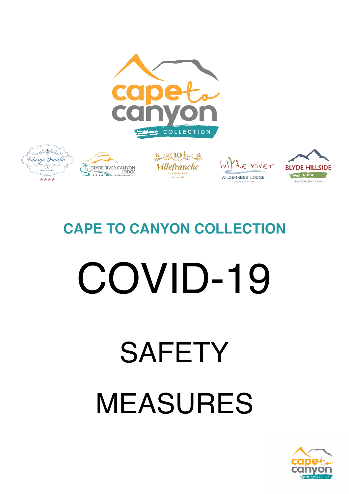

## **SAFETY** MEASURES

# COVID-19

### **CAPE TO CANYON COLLECTION**







**COLLECTION** 





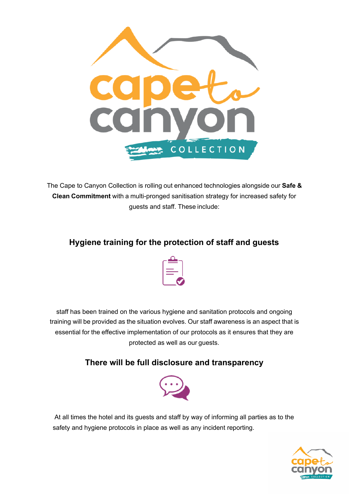

The Cape to Canyon Collection is rolling out enhanced technologies alongside our **Safe & Clean Commitment** with a multi-pronged sanitisation strategy for increased safety for guests and staff. These include:

#### **Hygiene training for the protection of staff and guests**



staff has been trained on the various hygiene and sanitation protocols and ongoing training will be provided as the situation evolves. Our staff awareness is an aspect that is essential for the effective implementation of our protocols as it ensures that they are protected as well as our guests.

#### **There will be full disclosure and transparency**



At all times the hotel and its guests and staff by way of informing all parties as to the safety and hygiene protocols in place as well as any incident reporting.

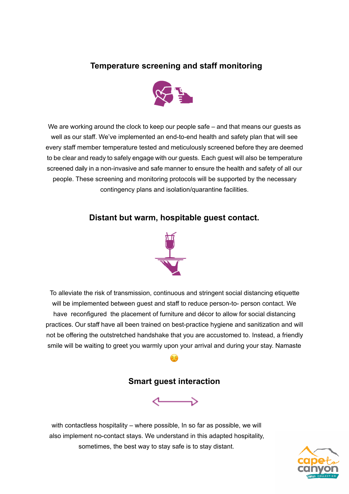#### **Temperature screening and staff monitoring**



We are working around the clock to keep our people safe – and that means our quests as well as our staff. We've implemented an end-to-end health and safety plan that will see every staff member temperature tested and meticulously screened before they are deemed to be clear and ready to safely engage with our guests. Each guest will also be temperature screened daily in a non-invasive and safe manner to ensure the health and safety of all our people. These screening and monitoring protocols will be supported by the necessary contingency plans and isolation/quarantine facilities.

#### **Distant but warm, hospitable guest contact.**



To alleviate the risk of transmission, continuous and stringent social distancing etiquette will be implemented between guest and staff to reduce person-to- person contact. We have reconfigured the placement of furniture and décor to allow for social distancing practices. Our staff have all been trained on best-practice hygiene and sanitization and will not be offering the outstretched handshake that you are accustomed to. Instead, a friendly smile will be waiting to greet you warmly upon your arrival and during your stay. Namaste

#### **Smart guest interaction**

☺



with contactless hospitality – where possible, In so far as possible, we will also implement no-contact stays. We understand in this adapted hospitality, sometimes, the best way to stay safe is to stay distant.

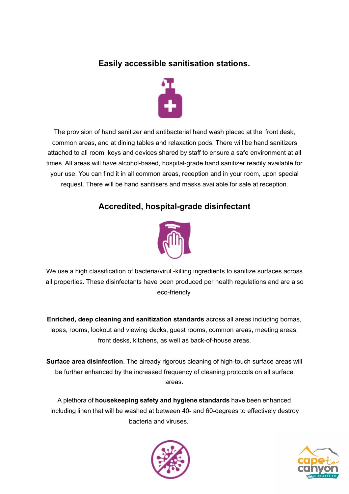#### **Easily accessible sanitisation stations.**



The provision of hand sanitizer and antibacterial hand wash placed at the front desk, common areas, and at dining tables and relaxation pods. There will be hand sanitizers attached to all room keys and devices shared by staff to ensure a safe environment at all times. All areas will have alcohol-based, hospital-grade hand sanitizer readily available for your use. You can find it in all common areas, reception and in your room, upon special request. There will be hand sanitisers and masks available for sale at reception.

#### **Accredited, hospital-grade disinfectant**



We use a high classification of bacteria/virul -killing ingredients to sanitize surfaces across all properties. These disinfectants have been produced per health regulations and are also eco-friendly.

**Enriched, deep cleaning and sanitization standards** across all areas including bomas, lapas, rooms, lookout and viewing decks, guest rooms, common areas, meeting areas, front desks, kitchens, as well as back-of-house areas.

**Surface area disinfection**. The already rigorous cleaning of high-touch surface areas will be further enhanced by the increased frequency of cleaning protocols on all surface areas.

A plethora of **housekeeping safety and hygiene standards** have been enhanced including linen that will be washed at between 40- and 60-degrees to effectively destroy bacteria and viruses.



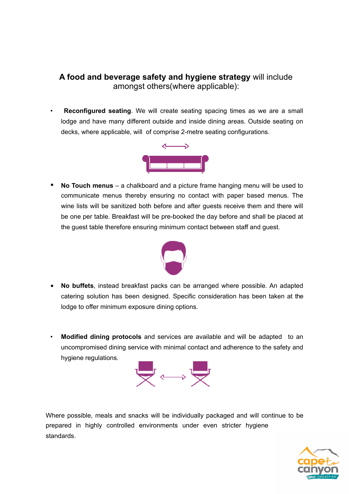#### **A food and beverage safety and hygiene strategy** will include amongst others(where applicable):

**Reconfigured seating**. We will create seating spacing times as we are a small lodge and have many different outside and inside dining areas. Outside seating on decks, where applicable, will of comprise 2-metre seating configurations.



• **No Touch menus** – a chalkboard and a picture frame hanging menu will be used to communicate menus thereby ensuring no contact with paper based menus. The wine lists will be sanitized both before and after guests receive them and there will be one per table. Breakfast will be pre-booked the day before and shall be placed at the guest table therefore ensuring minimum contact between staff and guest.



- **No buffets**, instead breakfast packs can be arranged where possible. An adapted catering solution has been designed. Specific consideration has been taken at the lodge to offer minimum exposure dining options.
- **Modified dining protocols** and services are available and will be adapted to an uncompromised dining service with minimal contact and adherence to the safety and hygiene regulations.



Where possible, meals and snacks will be individually packaged and will continue to be prepared in highly controlled environments under even stricter hygiene standards.

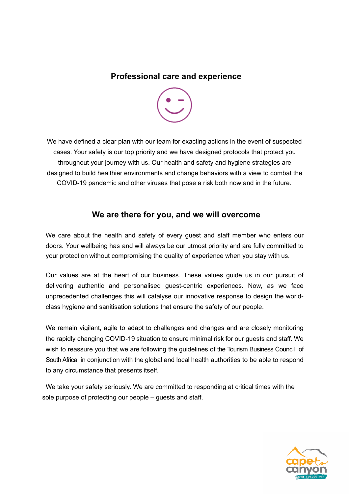#### **Professional care and experience**



We have defined a clear plan with our team for exacting actions in the event of suspected cases. Your safety is our top priority and we have designed protocols that protect you throughout your journey with us. Our health and safety and hygiene strategies are designed to build healthier environments and change behaviors with a view to combat the COVID-19 pandemic and other viruses that pose a risk both now and in the future.

#### **We are there for you, and we will overcome**

We care about the health and safety of every guest and staff member who enters our doors. Your wellbeing has and will always be our utmost priority and are fully committed to your protection without compromising the quality of experience when you stay with us.

Our values are at the heart of our business. These values guide us in our pursuit of delivering authentic and personalised guest-centric experiences. Now, as we face unprecedented challenges this will catalyse our innovative response to design the worldclass hygiene and sanitisation solutions that ensure the safety of our people.

We remain vigilant, agile to adapt to challenges and changes and are closely monitoring the rapidly changing COVID-19 situation to ensure minimal risk for our guests and staff. We wish to reassure you that we are following the guidelines of the Tourism Business Council of South Africa in conjunction with the global and local health authorities to be able to respond to any circumstance that presents itself.

 We take your safety seriously. We are committed to responding at critical times with the sole purpose of protecting our people – guests and staff.